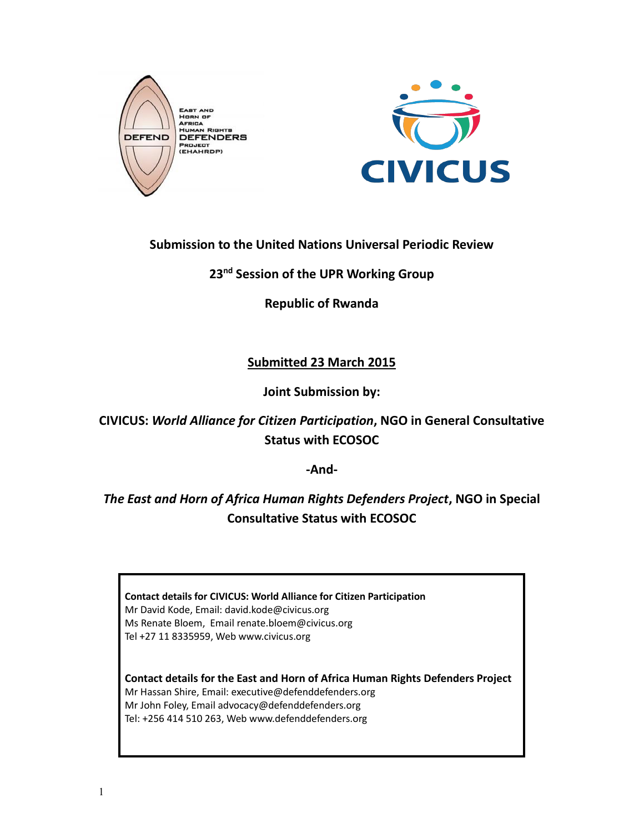



## **Submission to the United Nations Universal Periodic Review**

**23nd Session of the UPR Working Group**

**Republic of Rwanda**

# **Submitted 23 March 2015**

**Joint Submission by:**

**CIVICUS:** *World Alliance for Citizen Participation***, NGO in General Consultative Status with ECOSOC**

**-And-**

*The East and Horn of Africa Human Rights Defenders Project***, NGO in Special Consultative Status with ECOSOC**

**Contact details for CIVICUS: World Alliance for Citizen Participation** Mr David Kode, Email: david.kode@civicus.org Ms Renate Bloem, Email renate.bloem@civicus.org Tel +27 11 8335959, Web www.civicus.org

**Contact details for the East and Horn of Africa Human Rights Defenders Project** Mr Hassan Shire, Email: executive@defenddefenders.org Mr John Foley, Email advocacy@defenddefenders.org Tel: +256 414 510 263, Web www.defenddefenders.org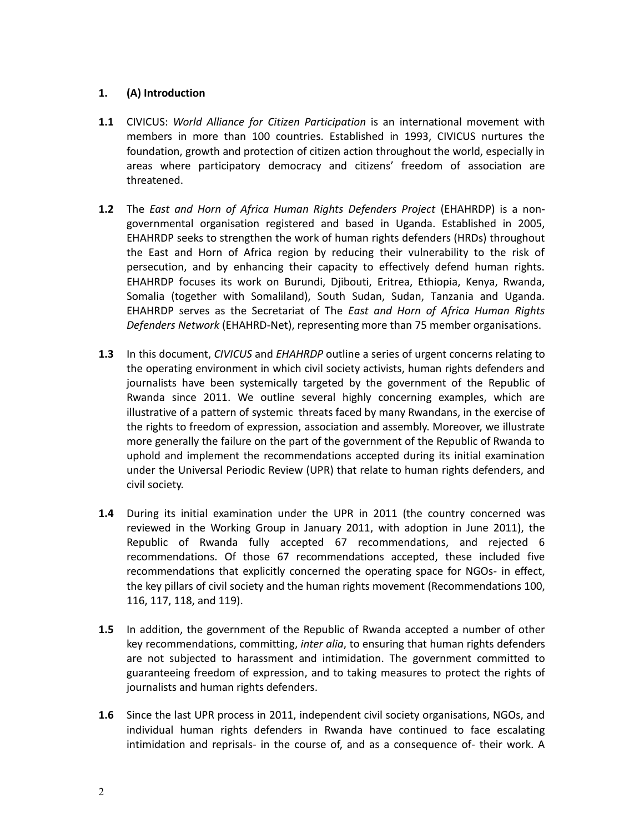## **1. (A) Introduction**

- **1.1** CIVICUS: *World Alliance for Citizen Participation* is an international movement with members in more than 100 countries. Established in 1993, CIVICUS nurtures the foundation, growth and protection of citizen action throughout the world, especially in areas where participatory democracy and citizens' freedom of association are threatened.
- **1.2** The *East and Horn of Africa Human Rights Defenders Project* (EHAHRDP) is a nongovernmental organisation registered and based in Uganda. Established in 2005, EHAHRDP seeks to strengthen the work of human rights defenders (HRDs) throughout the East and Horn of Africa region by reducing their vulnerability to the risk of persecution, and by enhancing their capacity to effectively defend human rights. EHAHRDP focuses its work on Burundi, Djibouti, Eritrea, Ethiopia, Kenya, Rwanda, Somalia (together with Somaliland), South Sudan, Sudan, Tanzania and Uganda. EHAHRDP serves as the Secretariat of The *East and Horn of Africa Human Rights Defenders Network* (EHAHRD-Net), representing more than 75 member organisations.
- **1.3** In this document, *CIVICUS* and *EHAHRDP* outline a series of urgent concerns relating to the operating environment in which civil society activists, human rights defenders and journalists have been systemically targeted by the government of the Republic of Rwanda since 2011. We outline several highly concerning examples, which are illustrative of a pattern of systemic threats faced by many Rwandans, in the exercise of the rights to freedom of expression, association and assembly. Moreover, we illustrate more generally the failure on the part of the government of the Republic of Rwanda to uphold and implement the recommendations accepted during its initial examination under the Universal Periodic Review (UPR) that relate to human rights defenders, and civil society.
- **1.4** During its initial examination under the UPR in 2011 (the country concerned was reviewed in the Working Group in January 2011, with adoption in June 2011), the Republic of Rwanda fully accepted 67 recommendations, and rejected 6 recommendations. Of those 67 recommendations accepted, these included five recommendations that explicitly concerned the operating space for NGOs- in effect, the key pillars of civil society and the human rights movement (Recommendations 100, 116, 117, 118, and 119).
- **1.5** In addition, the government of the Republic of Rwanda accepted a number of other key recommendations, committing, *inter alia*, to ensuring that human rights defenders are not subjected to harassment and intimidation. The government committed to guaranteeing freedom of expression, and to taking measures to protect the rights of journalists and human rights defenders.
- **1.6** Since the last UPR process in 2011, independent civil society organisations, NGOs, and individual human rights defenders in Rwanda have continued to face escalating intimidation and reprisals- in the course of, and as a consequence of- their work. A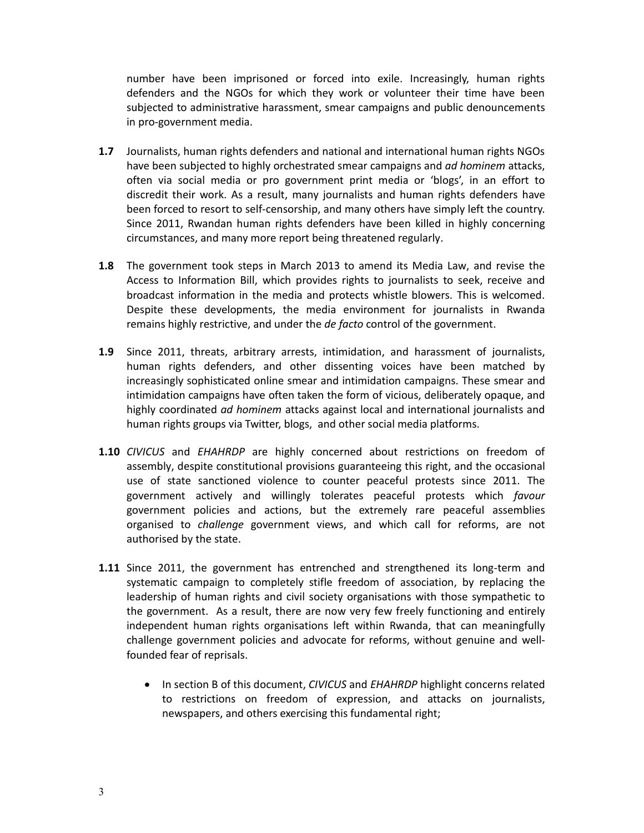number have been imprisoned or forced into exile. Increasingly, human rights defenders and the NGOs for which they work or volunteer their time have been subjected to administrative harassment, smear campaigns and public denouncements in pro-government media.

- **1.7** Journalists, human rights defenders and national and international human rights NGOs have been subjected to highly orchestrated smear campaigns and *ad hominem* attacks, often via social media or pro government print media or 'blogs', in an effort to discredit their work. As a result, many journalists and human rights defenders have been forced to resort to self-censorship, and many others have simply left the country. Since 2011, Rwandan human rights defenders have been killed in highly concerning circumstances, and many more report being threatened regularly.
- **1.8** The government took steps in March 2013 to amend its Media Law, and revise the Access to Information Bill, which provides rights to journalists to seek, receive and broadcast information in the media and protects whistle blowers. This is welcomed. Despite these developments, the media environment for journalists in Rwanda remains highly restrictive, and under the *de facto* control of the government.
- **1.9** Since 2011, threats, arbitrary arrests, intimidation, and harassment of journalists, human rights defenders, and other dissenting voices have been matched by increasingly sophisticated online smear and intimidation campaigns. These smear and intimidation campaigns have often taken the form of vicious, deliberately opaque, and highly coordinated *ad hominem* attacks against local and international journalists and human rights groups via Twitter, blogs, and other social media platforms.
- **1.10** *CIVICUS* and *EHAHRDP* are highly concerned about restrictions on freedom of assembly, despite constitutional provisions guaranteeing this right, and the occasional use of state sanctioned violence to counter peaceful protests since 2011. The government actively and willingly tolerates peaceful protests which *favour* government policies and actions, but the extremely rare peaceful assemblies organised to *challenge* government views, and which call for reforms, are not authorised by the state.
- **1.11** Since 2011, the government has entrenched and strengthened its long-term and systematic campaign to completely stifle freedom of association, by replacing the leadership of human rights and civil society organisations with those sympathetic to the government. As a result, there are now very few freely functioning and entirely independent human rights organisations left within Rwanda, that can meaningfully challenge government policies and advocate for reforms, without genuine and wellfounded fear of reprisals.
	- x In section B of this document, *CIVICUS* and *EHAHRDP* highlight concerns related to restrictions on freedom of expression, and attacks on journalists, newspapers, and others exercising this fundamental right;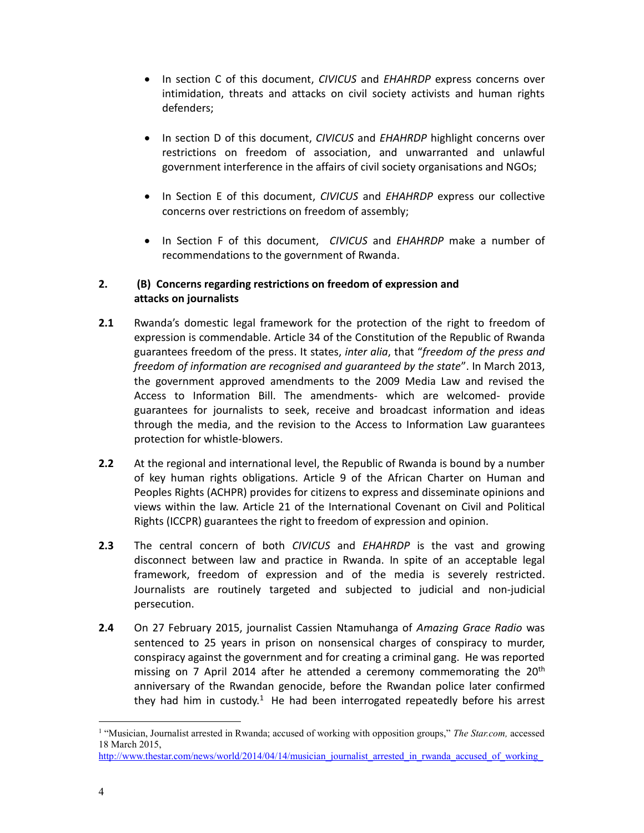- x In section C of this document, *CIVICUS* and *EHAHRDP* express concerns over intimidation, threats and attacks on civil society activists and human rights defenders;
- x In section D of this document, *CIVICUS* and *EHAHRDP* highlight concerns over restrictions on freedom of association, and unwarranted and unlawful government interference in the affairs of civil society organisations and NGOs;
- x In Section E of this document, *CIVICUS* and *EHAHRDP* express our collective concerns over restrictions on freedom of assembly;
- x In Section F of this document, *CIVICUS* and *EHAHRDP* make a number of recommendations to the government of Rwanda.

## **2. (B) Concerns regarding restrictions on freedom of expression and attacks on journalists**

- **2.1** Rwanda's domestic legal framework for the protection of the right to freedom of expression is commendable. Article 34 of the Constitution of the Republic of Rwanda guarantees freedom of the press. It states, *inter alia*, that "*freedom of the press and freedom of information are recognised and guaranteed by the state*". In March 2013, the government approved amendments to the 2009 Media Law and revised the Access to Information Bill. The amendments- which are welcomed- provide guarantees for journalists to seek, receive and broadcast information and ideas through the media, and the revision to the Access to Information Law guarantees protection for whistle-blowers.
- **2.2** At the regional and international level, the Republic of Rwanda is bound by a number of key human rights obligations. Article 9 of the African Charter on Human and Peoples Rights (ACHPR) provides for citizens to express and disseminate opinions and views within the law. Article 21 of the International Covenant on Civil and Political Rights (ICCPR) guarantees the right to freedom of expression and opinion.
- **2.3** The central concern of both *CIVICUS* and *EHAHRDP* is the vast and growing disconnect between law and practice in Rwanda. In spite of an acceptable legal framework, freedom of expression and of the media is severely restricted. Journalists are routinely targeted and subjected to judicial and non-judicial persecution.
- **2.4** On 27 February 2015, journalist Cassien Ntamuhanga of *Amazing Grace Radio* was sentenced to 25 years in prison on nonsensical charges of conspiracy to murder, conspiracy against the government and for creating a criminal gang. He was reported missing on 7 April 2014 after he attended a ceremony commemorating the 20<sup>th</sup> anniversary of the Rwandan genocide, before the Rwandan police later confirmed they had him in custody.<sup>1</sup> He had been interrogated repeatedly before his arrest

<sup>&</sup>lt;sup>1</sup> "Musician, Journalist arrested in Rwanda; accused of working with opposition groups," *The Star.com*, accessed 18 March 2015,

http://www.thestar.com/news/world/2014/04/14/musician\_journalist\_arrested\_in\_rwanda\_accused\_of\_working\_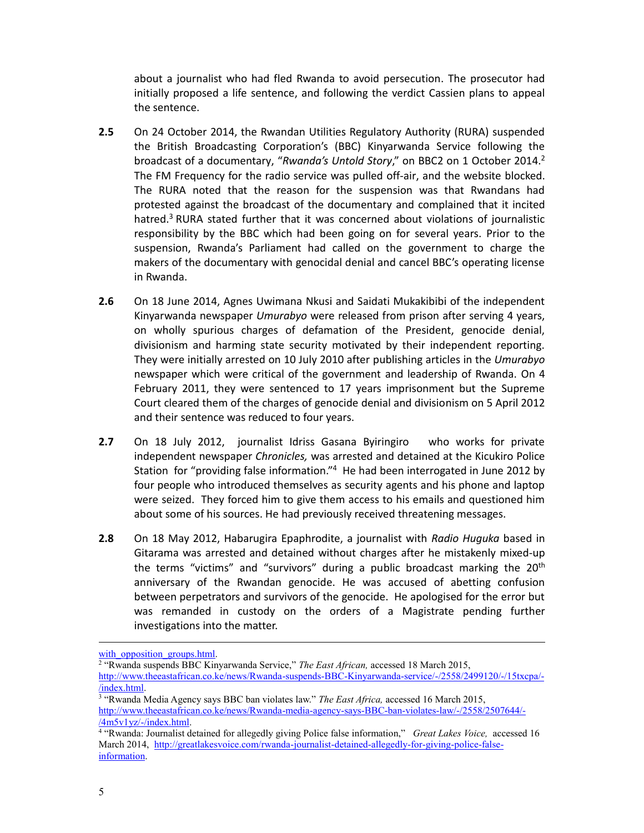about a journalist who had fled Rwanda to avoid persecution. The prosecutor had initially proposed a life sentence, and following the verdict Cassien plans to appeal the sentence.

- **2.5** On 24 October 2014, the Rwandan Utilities Regulatory Authority (RURA) suspended the British Broadcasting Corporation's (BBC) Kinyarwanda Service following the broadcast of a documentary, "*Rwanda's Untold Story*," on BBC2 on 1 October 2014.<sup>2</sup> The FM Frequency for the radio service was pulled off-air, and the website blocked. The RURA noted that the reason for the suspension was that Rwandans had protested against the broadcast of the documentary and complained that it incited hatred.<sup>3</sup> RURA stated further that it was concerned about violations of journalistic responsibility by the BBC which had been going on for several years. Prior to the suspension, Rwanda's Parliament had called on the government to charge the makers of the documentary with genocidal denial and cancel BBC's operating license in Rwanda.
- **2.6** On 18 June 2014, Agnes Uwimana Nkusi and Saidati Mukakibibi of the independent Kinyarwanda newspaper *Umurabyo* were released from prison after serving 4 years, on wholly spurious charges of defamation of the President, genocide denial, divisionism and harming state security motivated by their independent reporting. They were initially arrested on 10 July 2010 after publishing articles in the *Umurabyo* newspaper which were critical of the government and leadership of Rwanda. On 4 February 2011, they were sentenced to 17 years imprisonment but the Supreme Court cleared them of the charges of genocide denial and divisionism on 5 April 2012 and their sentence was reduced to four years.
- **2.7** On 18 July 2012, journalist Idriss Gasana Byiringiro who works for private independent newspaper *Chronicles,* was arrested and detained at the Kicukiro Police Station for "providing false information."<sup>4</sup> He had been interrogated in June 2012 by four people who introduced themselves as security agents and his phone and laptop were seized. They forced him to give them access to his emails and questioned him about some of his sources. He had previously received threatening messages.
- **2.8** On 18 May 2012, Habarugira Epaphrodite, a journalist with *Radio Huguka* based in Gitarama was arrested and detained without charges after he mistakenly mixed-up the terms "victims" and "survivors" during a public broadcast marking the 20<sup>th</sup> anniversary of the Rwandan genocide. He was accused of abetting confusion between perpetrators and survivors of the genocide. He apologised for the error but was remanded in custody on the orders of a Magistrate pending further investigations into the matter.

<sup>2</sup> "Rwanda suspends BBC Kinyarwanda Service," *The East African,* accessed 18 March 2015,

<sup>3</sup> "Rwanda Media Agency says BBC ban violates law." *The East Africa*, accessed 16 March 2015, http://www.theeastafrican.co.ke/news/Rwanda-media-agency-says-BBC-ban-violates-law/-/2558/2507644/- /4m5v1yz/-/index.html.

l

with opposition groups.html.

http://www.theeastafrican.co.ke/news/Rwanda-suspends-BBC-Kinyarwanda-service/-/2558/2499120/-/15txcpa/- /index.html.

<sup>4</sup> "Rwanda: Journalist detained for allegedly giving Police false information," *Great Lakes Voice,* accessed 16 March 2014, http://greatlakesvoice.com/rwanda-journalist-detained-allegedly-for-giving-police-falseinformation.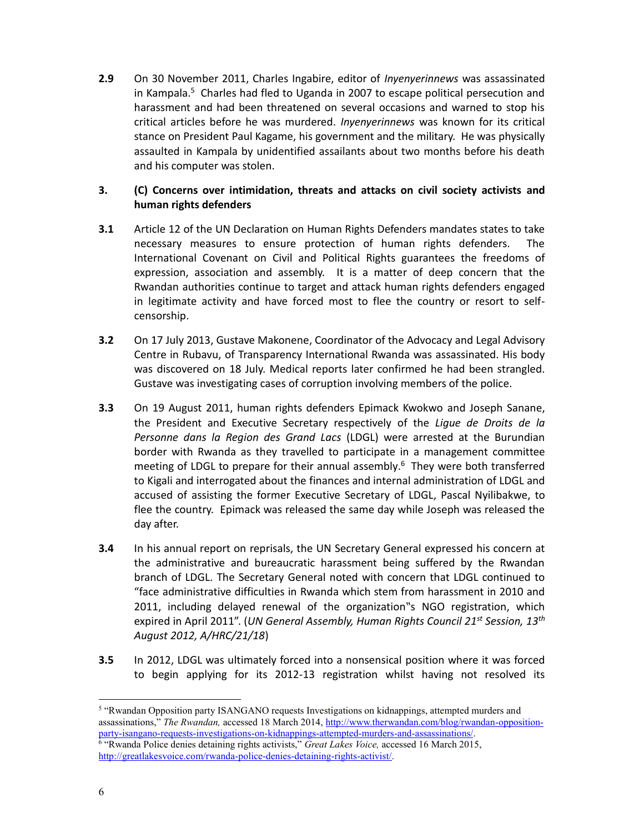**2.9** On 30 November 2011, Charles Ingabire, editor of *Inyenyerinnews* was assassinated in Kampala. $5$  Charles had fled to Uganda in 2007 to escape political persecution and harassment and had been threatened on several occasions and warned to stop his critical articles before he was murdered. *Inyenyerinnews* was known for its critical stance on President Paul Kagame, his government and the military. He was physically assaulted in Kampala by unidentified assailants about two months before his death and his computer was stolen.

## **3. (C) Concerns over intimidation, threats and attacks on civil society activists and human rights defenders**

- **3.1** Article 12 of the UN Declaration on Human Rights Defenders mandates states to take necessary measures to ensure protection of human rights defenders. The International Covenant on Civil and Political Rights guarantees the freedoms of expression, association and assembly. It is a matter of deep concern that the Rwandan authorities continue to target and attack human rights defenders engaged in legitimate activity and have forced most to flee the country or resort to selfcensorship.
- **3.2** On 17 July 2013, Gustave Makonene, Coordinator of the Advocacy and Legal Advisory Centre in Rubavu, of Transparency International Rwanda was assassinated. His body was discovered on 18 July. Medical reports later confirmed he had been strangled. Gustave was investigating cases of corruption involving members of the police.
- **3.3** On 19 August 2011, human rights defenders Epimack Kwokwo and Joseph Sanane, the President and Executive Secretary respectively of the *Ligue de Droits de la Personne dans la Region des Grand Lacs* (LDGL) were arrested at the Burundian border with Rwanda as they travelled to participate in a management committee meeting of LDGL to prepare for their annual assembly. <sup>6</sup> They were both transferred to Kigali and interrogated about the finances and internal administration of LDGL and accused of assisting the former Executive Secretary of LDGL, Pascal Nyilibakwe, to flee the country. Epimack was released the same day while Joseph was released the day after.
- **3.4** In his annual report on reprisals, the UN Secretary General expressed his concern at the administrative and bureaucratic harassment being suffered by the Rwandan branch of LDGL. The Secretary General noted with concern that LDGL continued to "face administrative difficulties in Rwanda which stem from harassment in 2010 and 2011, including delayed renewal of the organization"s NGO registration, which expired in April 2011". (*UN General Assembly, Human Rights Council 21st Session, 13th August 2012, A/HRC/21/18*)
- **3.5** In 2012, LDGL was ultimately forced into a nonsensical position where it was forced to begin applying for its 2012-13 registration whilst having not resolved its

<sup>&</sup>lt;sup>5</sup> "Rwandan Opposition party ISANGANO requests Investigations on kidnappings, attempted murders and assassinations," *The Rwandan,* accessed 18 March 2014, http://www.therwandan.com/blog/rwandan-oppositionparty-isangano-requests-investigations-on-kidnappings-attempted-murders-and-assassinations/. <sup>6</sup> "Rwanda Police denies detaining rights activists," *Great Lakes Voice,* accessed 16 March 2015, http://greatlakesvoice.com/rwanda-police-denies-detaining-rights-activist/.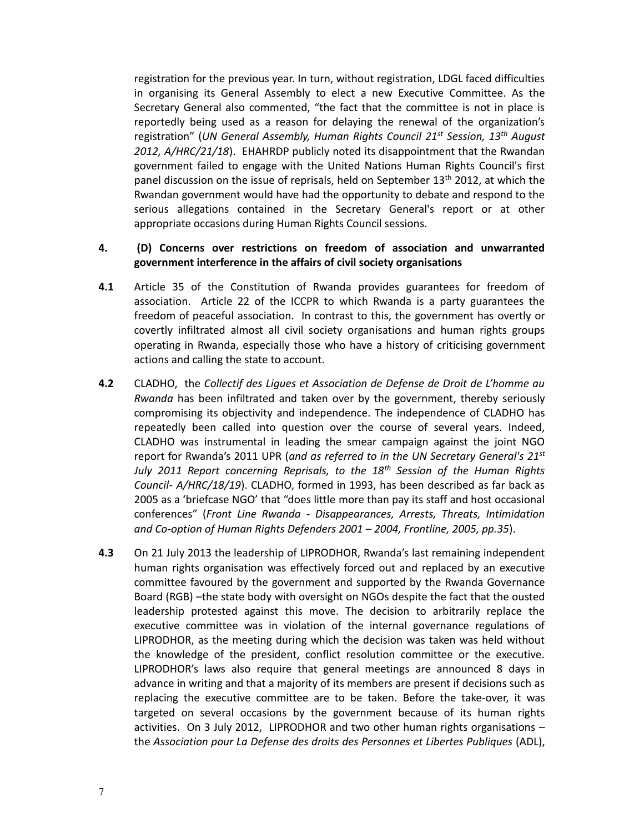registration for the previous year. In turn, without registration, LDGL faced difficulties in organising its General Assembly to elect a new Executive Committee. As the Secretary General also commented, "the fact that the committee is not in place is reportedly being used as a reason for delaying the renewal of the organization's registration" (*UN General Assembly, Human Rights Council 21st Session, 13th August 2012, A/HRC/21/18*). EHAHRDP publicly noted its disappointment that the Rwandan government failed to engage with the United Nations Human Rights Council's first panel discussion on the issue of reprisals, held on September 13<sup>th</sup> 2012, at which the Rwandan government would have had the opportunity to debate and respond to the serious allegations contained in the Secretary General's report or at other appropriate occasions during Human Rights Council sessions.

## **4. (D) Concerns over restrictions on freedom of association and unwarranted government interference in the affairs of civil society organisations**

- **4.1** Article 35 of the Constitution of Rwanda provides guarantees for freedom of association. Article 22 of the ICCPR to which Rwanda is a party guarantees the freedom of peaceful association. In contrast to this, the government has overtly or covertly infiltrated almost all civil society organisations and human rights groups operating in Rwanda, especially those who have a history of criticising government actions and calling the state to account.
- **4.2** CLADHO, the *Collectif des Ligues et Association de Defense de Droit de L'homme au Rwanda* has been infiltrated and taken over by the government, thereby seriously compromising its objectivity and independence. The independence of CLADHO has repeatedly been called into question over the course of several years. Indeed, CLADHO was instrumental in leading the smear campaign against the joint NGO report for Rwanda's 2011 UPR (*and as referred to in the UN Secretary General's 21st July 2011 Report concerning Reprisals, to the 18th Session of the Human Rights Council- A/HRC/18/19*). CLADHO, formed in 1993, has been described as far back as 2005 as a 'briefcase NGO' that "does little more than pay its staff and host occasional conferences" (*Front Line Rwanda - Disappearances, Arrests, Threats, Intimidation and Co-option of Human Rights Defenders 2001 – 2004, Frontline, 2005, pp.35*).
- **4.3** On 21 July 2013 the leadership of LIPRODHOR, Rwanda's last remaining independent human rights organisation was effectively forced out and replaced by an executive committee favoured by the government and supported by the Rwanda Governance Board (RGB) –the state body with oversight on NGOs despite the fact that the ousted leadership protested against this move. The decision to arbitrarily replace the executive committee was in violation of the internal governance regulations of LIPRODHOR, as the meeting during which the decision was taken was held without the knowledge of the president, conflict resolution committee or the executive. LIPRODHOR's laws also require that general meetings are announced 8 days in advance in writing and that a majority of its members are present if decisions such as replacing the executive committee are to be taken. Before the take-over, it was targeted on several occasions by the government because of its human rights activities. On 3 July 2012, LIPRODHOR and two other human rights organisations – the *Association pour La Defense des droits des Personnes et Libertes Publiques* (ADL),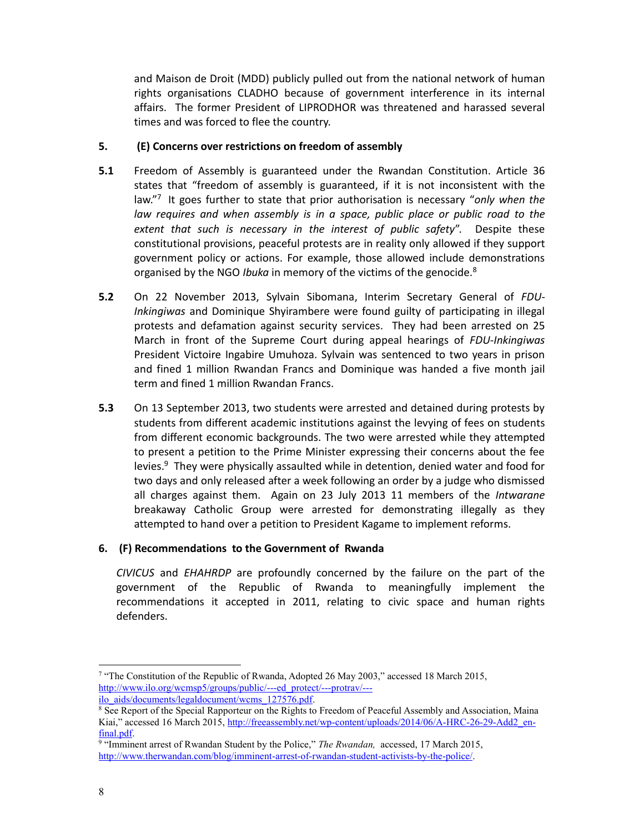and Maison de Droit (MDD) publicly pulled out from the national network of human rights organisations CLADHO because of government interference in its internal affairs. The former President of LIPRODHOR was threatened and harassed several times and was forced to flee the country.

#### **5. (E) Concerns over restrictions on freedom of assembly**

- **5.1** Freedom of Assembly is guaranteed under the Rwandan Constitution. Article 36 states that "freedom of assembly is guaranteed, if it is not inconsistent with the law."<sup>7</sup> It goes further to state that prior authorisation is necessary "*only when the law requires and when assembly is in a space, public place or public road to the extent that such is necessary in the interest of public safety*". Despite these constitutional provisions, peaceful protests are in reality only allowed if they support government policy or actions. For example, those allowed include demonstrations organised by the NGO *Ibuka* in memory of the victims of the genocide.<sup>8</sup>
- **5.2** On 22 November 2013, Sylvain Sibomana, Interim Secretary General of *FDU-Inkingiwas* and Dominique Shyirambere were found guilty of participating in illegal protests and defamation against security services. They had been arrested on 25 March in front of the Supreme Court during appeal hearings of *FDU-Inkingiwas* President Victoire Ingabire Umuhoza. Sylvain was sentenced to two years in prison and fined 1 million Rwandan Francs and Dominique was handed a five month jail term and fined 1 million Rwandan Francs.
- **5.3** On 13 September 2013, two students were arrested and detained during protests by students from different academic institutions against the levying of fees on students from different economic backgrounds. The two were arrested while they attempted to present a petition to the Prime Minister expressing their concerns about the fee levies. $9$  They were physically assaulted while in detention, denied water and food for two days and only released after a week following an order by a judge who dismissed all charges against them. Again on 23 July 2013 11 members of the *Intwarane* breakaway Catholic Group were arrested for demonstrating illegally as they attempted to hand over a petition to President Kagame to implement reforms.

## **6. (F) Recommendations to the Government of Rwanda**

*CIVICUS* and *EHAHRDP* are profoundly concerned by the failure on the part of the government of the Republic of Rwanda to meaningfully implement the recommendations it accepted in 2011, relating to civic space and human rights defenders.

 <sup>7</sup> "The Constitution of the Republic of Rwanda, Adopted 26 May 2003," accessed 18 March 2015, http://www.ilo.org/wcmsp5/groups/public/---ed\_protect/---protrav/-- ilo\_aids/documents/legaldocument/wcms\_127576.pdf.

<sup>&</sup>lt;sup>8</sup> See Report of the Special Rapporteur on the Rights to Freedom of Peaceful Assembly and Association, Maina Kiai," accessed 16 March 2015, http://freeassembly.net/wp-content/uploads/2014/06/A-HRC-26-29-Add2\_enfinal.pdf.

<sup>9</sup> "Imminent arrest of Rwandan Student by the Police," *The Rwandan,* accessed, 17 March 2015, http://www.therwandan.com/blog/imminent-arrest-of-rwandan-student-activists-by-the-police/.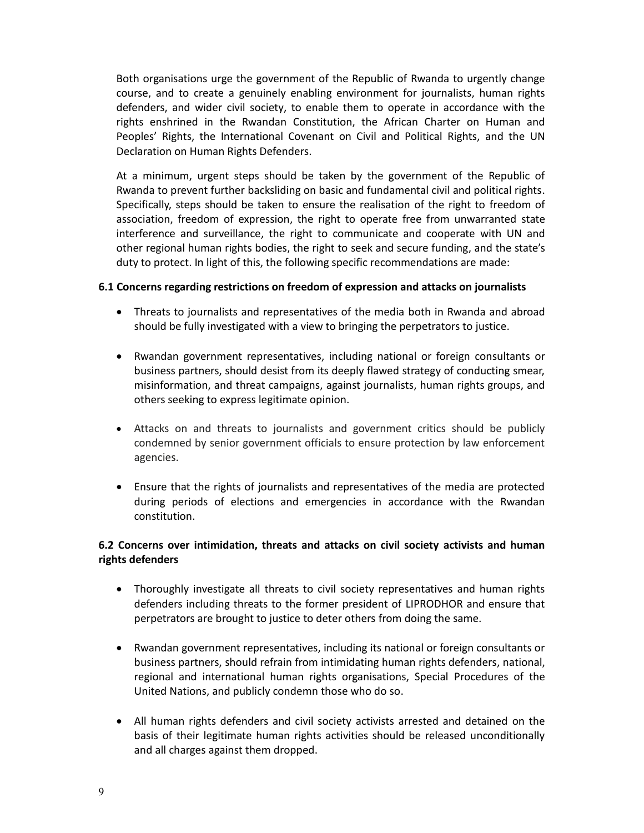Both organisations urge the government of the Republic of Rwanda to urgently change course, and to create a genuinely enabling environment for journalists, human rights defenders, and wider civil society, to enable them to operate in accordance with the rights enshrined in the Rwandan Constitution, the African Charter on Human and Peoples' Rights, the International Covenant on Civil and Political Rights, and the UN Declaration on Human Rights Defenders.

At a minimum, urgent steps should be taken by the government of the Republic of Rwanda to prevent further backsliding on basic and fundamental civil and political rights. Specifically, steps should be taken to ensure the realisation of the right to freedom of association, freedom of expression, the right to operate free from unwarranted state interference and surveillance, the right to communicate and cooperate with UN and other regional human rights bodies, the right to seek and secure funding, and the state's duty to protect. In light of this, the following specific recommendations are made:

## **6.1 Concerns regarding restrictions on freedom of expression and attacks on journalists**

- Threats to journalists and representatives of the media both in Rwanda and abroad should be fully investigated with a view to bringing the perpetrators to justice.
- Rwandan government representatives, including national or foreign consultants or business partners, should desist from its deeply flawed strategy of conducting smear, misinformation, and threat campaigns, against journalists, human rights groups, and others seeking to express legitimate opinion.
- Attacks on and threats to journalists and government critics should be publicly condemned by senior government officials to ensure protection by law enforcement agencies.
- Ensure that the rights of journalists and representatives of the media are protected during periods of elections and emergencies in accordance with the Rwandan constitution.

## **6.2 Concerns over intimidation, threats and attacks on civil society activists and human rights defenders**

- Thoroughly investigate all threats to civil society representatives and human rights defenders including threats to the former president of LIPRODHOR and ensure that perpetrators are brought to justice to deter others from doing the same.
- Rwandan government representatives, including its national or foreign consultants or business partners, should refrain from intimidating human rights defenders, national, regional and international human rights organisations, Special Procedures of the United Nations, and publicly condemn those who do so.
- All human rights defenders and civil society activists arrested and detained on the basis of their legitimate human rights activities should be released unconditionally and all charges against them dropped.